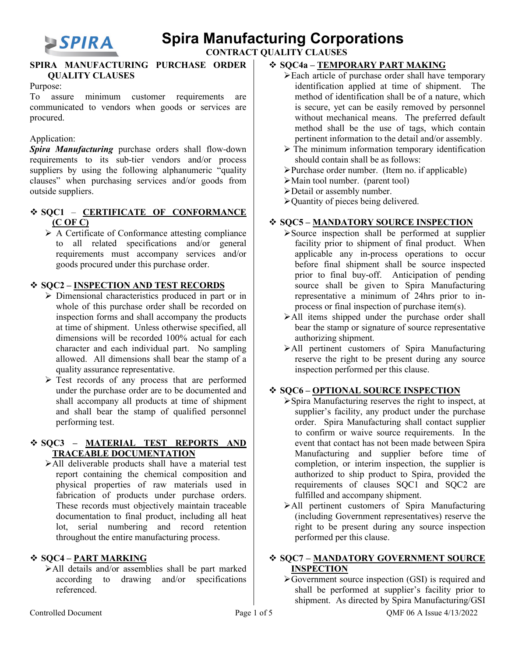

 **CONTRACT QUALITY CLAUSES** 

#### **SPIRA MANUFACTURING PURCHASE ORDER QUALITY CLAUSES**

#### Purpose:

To assure minimum customer requirements are communicated to vendors when goods or services are procured.

#### Application:

*Spira Manufacturing* purchase orders shall flow-down requirements to its sub-tier vendors and/or process suppliers by using the following alphanumeric "quality" clauses" when purchasing services and/or goods from outside suppliers.

## **SQC1** – **CERTIFICATE OF CONFORMANCE (C OF C)**

 $\triangleright$  A Certificate of Conformance attesting compliance to all related specifications and/or general requirements must accompany services and/or goods procured under this purchase order.

### **SQC2 – INSPECTION AND TEST RECORDS**

- Dimensional characteristics produced in part or in whole of this purchase order shall be recorded on inspection forms and shall accompany the products at time of shipment. Unless otherwise specified, all dimensions will be recorded 100% actual for each character and each individual part. No sampling allowed. All dimensions shall bear the stamp of a quality assurance representative.
- $\triangleright$  Test records of any process that are performed under the purchase order are to be documented and shall accompany all products at time of shipment and shall bear the stamp of qualified personnel performing test.

#### **SQC3 – MATERIAL TEST REPORTS AND TRACEABLE DOCUMENTATION**

All deliverable products shall have a material test report containing the chemical composition and physical properties of raw materials used in fabrication of products under purchase orders. These records must objectively maintain traceable documentation to final product, including all heat lot, serial numbering and record retention throughout the entire manufacturing process.

#### **SQC4 – PART MARKING**

All details and/or assemblies shall be part marked according to drawing and/or specifications referenced.

### **SQC4a – TEMPORARY PART MAKING**

- Each article of purchase order shall have temporary identification applied at time of shipment. The method of identification shall be of a nature, which is secure, yet can be easily removed by personnel without mechanical means. The preferred default method shall be the use of tags, which contain pertinent information to the detail and/or assembly.
- $\triangleright$  The minimum information temporary identification should contain shall be as follows:
- Purchase order number. (Item no. if applicable)
- Main tool number. (parent tool)
- Detail or assembly number.
- Quantity of pieces being delivered.

### **SQC5 – MANDATORY SOURCE INSPECTION**

- Source inspection shall be performed at supplier facility prior to shipment of final product. When applicable any in-process operations to occur before final shipment shall be source inspected prior to final buy-off. Anticipation of pending source shall be given to Spira Manufacturing representative a minimum of 24hrs prior to inprocess or final inspection of purchase item(s).
- All items shipped under the purchase order shall bear the stamp or signature of source representative authorizing shipment.
- All pertinent customers of Spira Manufacturing reserve the right to be present during any source inspection performed per this clause.

### **SQC6 – OPTIONAL SOURCE INSPECTION**

- Spira Manufacturing reserves the right to inspect, at supplier's facility, any product under the purchase order. Spira Manufacturing shall contact supplier to confirm or waive source requirements. In the event that contact has not been made between Spira Manufacturing and supplier before time of completion, or interim inspection, the supplier is authorized to ship product to Spira, provided the requirements of clauses SQC1 and SQC2 are fulfilled and accompany shipment.
- All pertinent customers of Spira Manufacturing (including Government representatives) reserve the right to be present during any source inspection performed per this clause.

#### **SQC7 – MANDATORY GOVERNMENT SOURCE INSPECTION**

 $\sqrt{\text{Government}}$  source inspection (GSI) is required and shall be performed at supplier's facility prior to shipment. As directed by Spira Manufacturing/GSI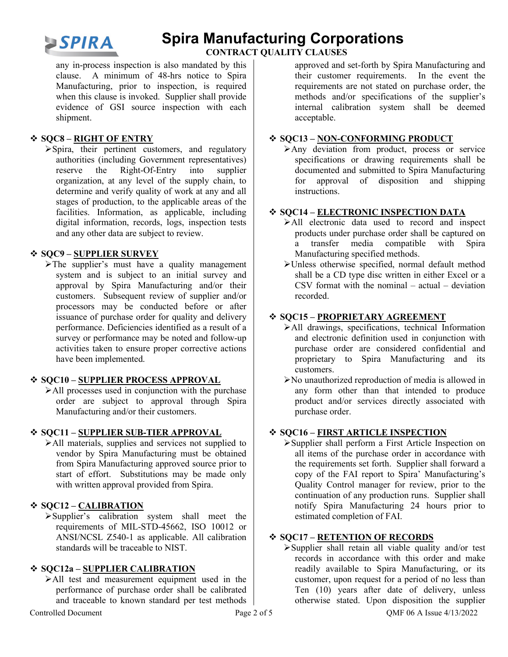

 **CONTRACT QUALITY CLAUSES** 

any in-process inspection is also mandated by this clause. A minimum of 48-hrs notice to Spira Manufacturing, prior to inspection, is required when this clause is invoked. Supplier shall provide evidence of GSI source inspection with each shipment.

### **SQC8 – RIGHT OF ENTRY**

Spira, their pertinent customers, and regulatory authorities (including Government representatives) reserve the Right-Of-Entry into supplier organization, at any level of the supply chain, to determine and verify quality of work at any and all stages of production, to the applicable areas of the facilities. Information, as applicable, including digital information, records, logs, inspection tests and any other data are subject to review.

### **SQC9 – SUPPLIER SURVEY**

>The supplier's must have a quality management system and is subject to an initial survey and approval by Spira Manufacturing and/or their customers. Subsequent review of supplier and/or processors may be conducted before or after issuance of purchase order for quality and delivery performance. Deficiencies identified as a result of a survey or performance may be noted and follow-up activities taken to ensure proper corrective actions have been implemented.

#### **SQC10 – SUPPLIER PROCESS APPROVAL**

All processes used in conjunction with the purchase order are subject to approval through Spira Manufacturing and/or their customers.

### **SQC11 – SUPPLIER SUB-TIER APPROVAL**

All materials, supplies and services not supplied to vendor by Spira Manufacturing must be obtained from Spira Manufacturing approved source prior to start of effort. Substitutions may be made only with written approval provided from Spira.

### **SQC12 – CALIBRATION**

Supplier's calibration system shall meet the requirements of MIL-STD-45662, ISO 10012 or ANSI/NCSL Z540-1 as applicable. All calibration standards will be traceable to NIST.

### **SQC12a – SUPPLIER CALIBRATION**

All test and measurement equipment used in the performance of purchase order shall be calibrated and traceable to known standard per test methods approved and set-forth by Spira Manufacturing and their customer requirements. In the event the requirements are not stated on purchase order, the methods and/or specifications of the supplier's internal calibration system shall be deemed acceptable.

#### **SQC13 – NON-CONFORMING PRODUCT**

Any deviation from product, process or service specifications or drawing requirements shall be documented and submitted to Spira Manufacturing for approval of disposition and shipping instructions.

#### **SQC14 – ELECTRONIC INSPECTION DATA**

- All electronic data used to record and inspect products under purchase order shall be captured on a transfer media compatible with Spira Manufacturing specified methods.
- Unless otherwise specified, normal default method shall be a CD type disc written in either Excel or a CSV format with the nominal  $-$  actual  $-$  deviation recorded.

#### **SQC15 – PROPRIETARY AGREEMENT**

- All drawings, specifications, technical Information and electronic definition used in conjunction with purchase order are considered confidential and proprietary to Spira Manufacturing and its customers.
- No unauthorized reproduction of media is allowed in any form other than that intended to produce product and/or services directly associated with purchase order.

### **SQC16 – FIRST ARTICLE INSPECTION**

Supplier shall perform a First Article Inspection on all items of the purchase order in accordance with the requirements set forth. Supplier shall forward a copy of the FAI report to Spira' Manufacturing's Quality Control manager for review, prior to the continuation of any production runs. Supplier shall notify Spira Manufacturing 24 hours prior to estimated completion of FAI.

#### **SQC17 – RETENTION OF RECORDS**

Supplier shall retain all viable quality and/or test records in accordance with this order and make readily available to Spira Manufacturing, or its customer, upon request for a period of no less than Ten (10) years after date of delivery, unless otherwise stated. Upon disposition the supplier

Controlled Document Page 2 of 5 QMF 06 A Issue 4/13/2022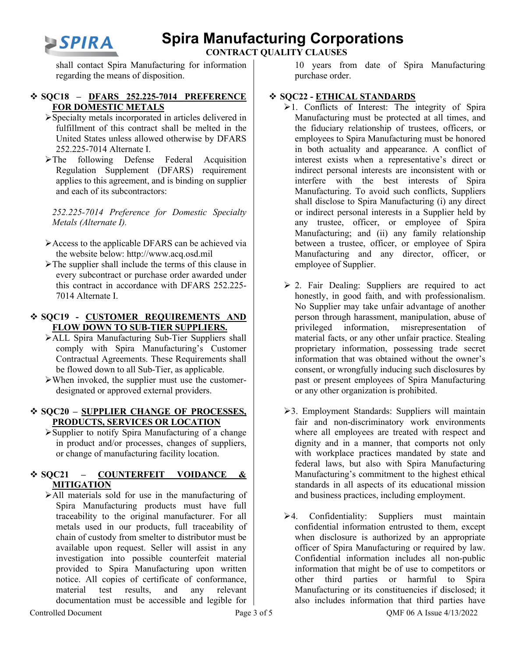

 **CONTRACT QUALITY CLAUSES** 

shall contact Spira Manufacturing for information regarding the means of disposition.

#### **SQC18 – DFARS 252.225-7014 PREFERENCE FOR DOMESTIC METALS**

- Specialty metals incorporated in articles delivered in fulfillment of this contract shall be melted in the United States unless allowed otherwise by DFARS 252.225-7014 Alternate I.
- The following Defense Federal Acquisition Regulation Supplement (DFARS) requirement applies to this agreement, and is binding on supplier and each of its subcontractors:

*252.225-7014 Preference for Domestic Specialty Metals (Alternate I).*

- Access to the applicable DFARS can be achieved via the website below: [http://www.acq.osd.mil](http://www.acq.osd.mil/)
- $\triangleright$  The supplier shall include the terms of this clause in every subcontract or purchase order awarded under this contract in accordance with DFARS 252.225- 7014 Alternate I.

#### **SQC19 - CUSTOMER REQUIREMENTS AND FLOW DOWN TO SUB-TIER SUPPLIERS.**

- ALL Spira Manufacturing Sub-Tier Suppliers shall comply with Spira Manufacturing's Customer Contractual Agreements. These Requirements shall be flowed down to all Sub-Tier, as applicable.
- $\triangleright$  When invoked, the supplier must use the customerdesignated or approved external providers.

#### **SQC20 – SUPPLIER CHANGE OF PROCESSES, PRODUCTS, SERVICES OR LOCATION**

Supplier to notify Spira Manufacturing of a change in product and/or processes, changes of suppliers, or change of manufacturing facility location.

### **SQC21 – COUNTERFEIT VOIDANCE & MITIGATION**

All materials sold for use in the manufacturing of Spira Manufacturing products must have full traceability to the original manufacturer. For all metals used in our products, full traceability of chain of custody from smelter to distributor must be available upon request. Seller will assist in any investigation into possible counterfeit material provided to Spira Manufacturing upon written notice. All copies of certificate of conformance, material test results, and any relevant documentation must be accessible and legible for

10 years from date of Spira Manufacturing purchase order.

### **SQC22 - ETHICAL STANDARDS**

- $\geq 1$ . Conflicts of Interest: The integrity of Spira Manufacturing must be protected at all times, and the fiduciary relationship of trustees, officers, or employees to Spira Manufacturing must be honored in both actuality and appearance. A conflict of interest exists when a representative's direct or indirect personal interests are inconsistent with or interfere with the best interests of Spira Manufacturing. To avoid such conflicts, Suppliers shall disclose to Spira Manufacturing (i) any direct or indirect personal interests in a Supplier held by any trustee, officer, or employee of Spira Manufacturing; and (ii) any family relationship between a trustee, officer, or employee of Spira Manufacturing and any director, officer, or employee of Supplier.
- $\geq$  2. Fair Dealing: Suppliers are required to act honestly, in good faith, and with professionalism. No Supplier may take unfair advantage of another person through harassment, manipulation, abuse of privileged information, misrepresentation of material facts, or any other unfair practice. Stealing proprietary information, possessing trade secret information that was obtained without the owner's consent, or wrongfully inducing such disclosures by past or present employees of Spira Manufacturing or any other organization is prohibited.
- 3. Employment Standards: Suppliers will maintain fair and non-discriminatory work environments where all employees are treated with respect and dignity and in a manner, that comports not only with workplace practices mandated by state and federal laws, but also with Spira Manufacturing Manufacturing's commitment to the highest ethical standards in all aspects of its educational mission and business practices, including employment.
- $\geq 4$ . Confidentiality: Suppliers must maintain confidential information entrusted to them, except when disclosure is authorized by an appropriate officer of Spira Manufacturing or required by law. Confidential information includes all non-public information that might be of use to competitors or other third parties or harmful to Spira Manufacturing or its constituencies if disclosed; it also includes information that third parties have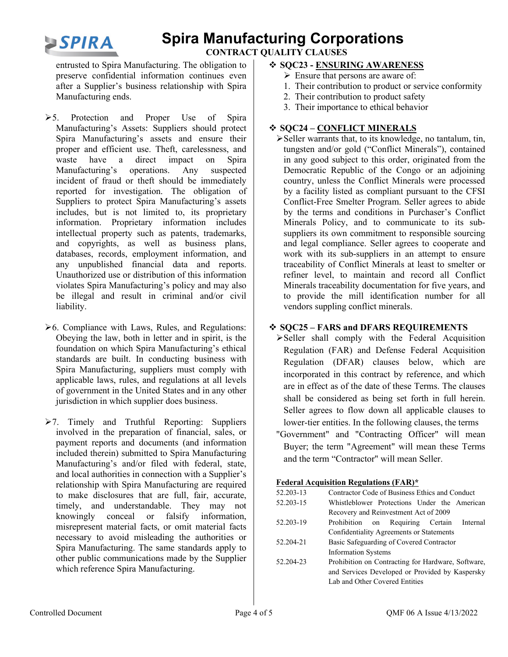

 **CONTRACT QUALITY CLAUSES** 

entrusted to Spira Manufacturing. The obligation to preserve confidential information continues even after a Supplier's business relationship with Spira Manufacturing ends.

- 5. Protection and Proper Use of Spira Manufacturing's Assets: Suppliers should protect Spira Manufacturing's assets and ensure their proper and efficient use. Theft, carelessness, and waste have a direct impact on Spira Manufacturing's operations. Any suspected incident of fraud or theft should be immediately reported for investigation. The obligation of Suppliers to protect Spira Manufacturing's assets includes, but is not limited to, its proprietary information. Proprietary information includes intellectual property such as patents, trademarks, and copyrights, as well as business plans, databases, records, employment information, and any unpublished financial data and reports. Unauthorized use or distribution of this information violates Spira Manufacturing's policy and may also be illegal and result in criminal and/or civil liability.
- $\geq 6$ . Compliance with Laws, Rules, and Regulations: Obeying the law, both in letter and in spirit, is the foundation on which Spira Manufacturing's ethical standards are built. In conducting business with Spira Manufacturing, suppliers must comply with applicable laws, rules, and regulations at all levels of government in the United States and in any other jurisdiction in which supplier does business.
- $\geq 7$ . Timely and Truthful Reporting: Suppliers involved in the preparation of financial, sales, or payment reports and documents (and information included therein) submitted to Spira Manufacturing Manufacturing's and/or filed with federal, state, and local authorities in connection with a Supplier's relationship with Spira Manufacturing are required to make disclosures that are full, fair, accurate, timely, and understandable. They may not knowingly conceal or falsify information, misrepresent material facts, or omit material facts necessary to avoid misleading the authorities or Spira Manufacturing. The same standards apply to other public communications made by the Supplier which reference Spira Manufacturing.

#### **SQC23 - ENSURING AWARENESS**

- $\triangleright$  Ensure that persons are aware of:
- 1. Their contribution to product or service conformity
- 2. Their contribution to product safety
- 3. Their importance to ethical behavior

### **SQC24 – CONFLICT MINERALS**

Seller warrants that, to its knowledge, no tantalum, tin, tungsten and/or gold ("Conflict Minerals"), contained in any good subject to this order, originated from the Democratic Republic of the Congo or an adjoining country, unless the Conflict Minerals were processed by a facility listed as compliant pursuant to the CFSI Conflict-Free Smelter Program. Seller agrees to abide by the terms and conditions in Purchaser's Conflict Minerals Policy, and to communicate to its subsuppliers its own commitment to responsible sourcing and legal compliance. Seller agrees to cooperate and work with its sub-suppliers in an attempt to ensure traceability of Conflict Minerals at least to smelter or refiner level, to maintain and record all Conflict Minerals traceability documentation for five years, and to provide the mill identification number for all vendors suppling conflict minerals.

### **SQC25 – FARS and DFARS REQUIREMENTS**

Seller shall comply with the Federal Acquisition Regulation (FAR) and Defense Federal Acquisition Regulation (DFAR) clauses below, which are incorporated in this contract by reference, and which are in effect as of the date of these Terms. The clauses shall be considered as being set forth in full herein. Seller agrees to flow down all applicable clauses to lower-tier entities. In the following clauses, the terms "Government" and "Contracting Officer" will mean Buyer; the term "Agreement" will mean these Terms

#### **Federal Acquisition Regulations (FAR)\***

and the term "Contractor" will mean Seller.

| 52.203-13 | Contractor Code of Business Ethics and Conduct     |
|-----------|----------------------------------------------------|
| 52.203-15 | Whistleblower Protections Under the American       |
|           | Recovery and Reinvestment Act of 2009              |
| 52.203-19 | Prohibition on Requiring Certain Internal          |
|           | Confidentiality Agreements or Statements           |
| 52.204-21 | Basic Safeguarding of Covered Contractor           |
|           | <b>Information Systems</b>                         |
| 52.204-23 | Prohibition on Contracting for Hardware, Software, |
|           | and Services Developed or Provided by Kaspersky    |
|           | Lab and Other Covered Entities                     |